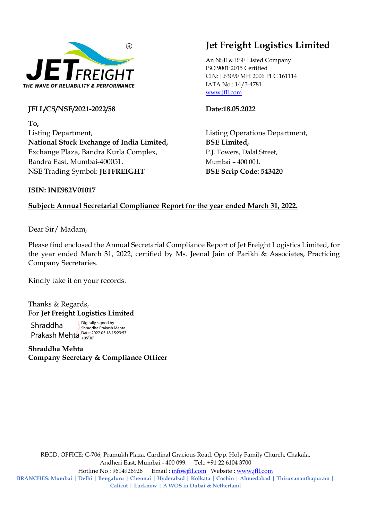

JFLL/CS/NSE/2021-2022/58 Date:18.05.2022

To, Listing Department, Listing Operations Department, National Stock Exchange of India Limited, BSE Limited, Exchange Plaza, Bandra Kurla Complex, P.J. Towers, Dalal Street, Bandra East, Mumbai-400051. Mumbai – 400 001. NSE Trading Symbol: JETFREIGHT BSE Scrip Code: 543420

## Jet Freight Logistics Limited

An NSE & BSE Listed Company ISO 9001:2015 Certified CIN: L63090 MH 2006 PLC 161114 IATA No.: 14/3-4781 www.jfll.com

## ISIN: INE982V01017

## Subject: Annual Secretarial Compliance Report for the year ended March 31, 2022.

Dear Sir/ Madam,

Please find enclosed the Annual Secretarial Compliance Report of Jet Freight Logistics Limited, for the year ended March 31, 2022, certified by Ms. Jeenal Jain of Parikh & Associates, Practicing Company Secretaries.

Kindly take it on your records.

Thanks & Regards, For Jet Freight Logistics Limited

Shraddha Prakash Mehta Date: 2022.05.18 15:23:53 Digitally signed by Shraddha Prakash Mehta +05'30'

Shraddha Mehta Company Secretary & Compliance Officer

REGD. OFFICE: C-706, Pramukh Plaza, Cardinal Gracious Road, Opp. Holy Family Church, Chakala, Andheri East, Mumbai - 400 099. Tel.: +91 22 6104 3700 Hotline No : 9614926926 Email : info@jfll.com Website : www.jfll.com BRANCHES: Mumbai | Delhi | Bengaluru | Chennai | Hyderabad | Kolkata | Cochin | Ahmedabad | Thiruvananthapuram | Calicut | Lucknow | A WOS in Dubai & Netherland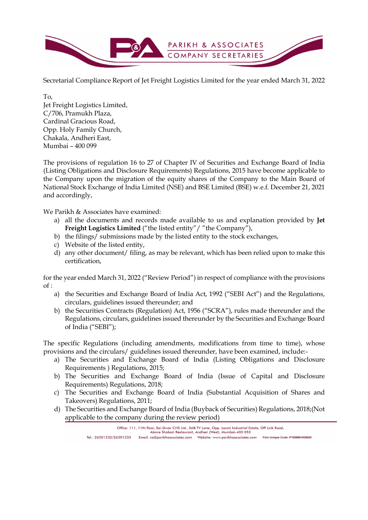

Secretarial Compliance Report of Jet Freight Logistics Limited for the year ended March 31, 2022

To, Jet Freight Logistics Limited, C/706, Pramukh Plaza, Cardinal Gracious Road, Opp. Holy Family Church, Chakala, Andheri East, Mumbai – 400 099

The provisions of regulation 16 to 27 of Chapter IV of Securities and Exchange Board of India (Listing Obligations and Disclosure Requirements) Regulations, 2015 have become applicable to the Company upon the migration of the equity shares of the Company to the Main Board of National Stock Exchange of India Limited (NSE) and BSE Limited (BSE) w.e.f. December 21, 2021 and accordingly,

We Parikh & Associates have examined:

- a) all the documents and records made available to us and explanation provided by Jet Freight Logistics Limited ("the listed entity" / "the Company"),
- b) the filings/ submissions made by the listed entity to the stock exchanges,
- c) Website of the listed entity,
- d) any other document/ filing, as may be relevant, which has been relied upon to make this certification,

for the year ended March 31, 2022 ("Review Period") in respect of compliance with the provisions of :

- a) the Securities and Exchange Board of India Act, 1992 ("SEBI Act") and the Regulations, circulars, guidelines issued thereunder; and
- b) the Securities Contracts (Regulation) Act, 1956 ("SCRA"), rules made thereunder and the Regulations, circulars, guidelines issued thereunder by the Securities and Exchange Board of India ("SEBI");

The specific Regulations (including amendments, modifications from time to time), whose provisions and the circulars/ guidelines issued thereunder, have been examined, include:-

- a) The Securities and Exchange Board of India (Listing Obligations and Disclosure Requirements ) Regulations, 2015;
- b) The Securities and Exchange Board of India (Issue of Capital and Disclosure Requirements) Regulations, 2018;
- c) The Securities and Exchange Board of India (Substantial Acquisition of Shares and Takeovers) Regulations, 2011;
- d) The Securities and Exchange Board of India (Buyback of Securities) Regulations, 2018;(Not applicable to the company during the review period)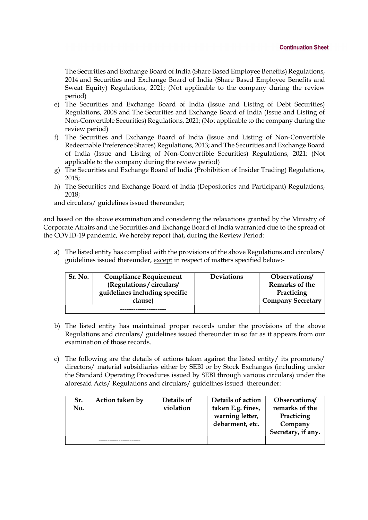The Securities and Exchange Board of India (Share Based Employee Benefits) Regulations, 2014 and Securities and Exchange Board of India (Share Based Employee Benefits and Sweat Equity) Regulations, 2021; (Not applicable to the company during the review period)

- e) The Securities and Exchange Board of India (Issue and Listing of Debt Securities) Regulations, 2008 and The Securities and Exchange Board of India (Issue and Listing of Non-Convertible Securities) Regulations, 2021; (Not applicable to the company during the review period)
- f) The Securities and Exchange Board of India (Issue and Listing of Non-Convertible Redeemable Preference Shares) Regulations, 2013; and The Securities and Exchange Board of India (Issue and Listing of Non-Convertible Securities) Regulations, 2021; (Not applicable to the company during the review period)
- g) The Securities and Exchange Board of India (Prohibition of Insider Trading) Regulations, 2015;
- h) The Securities and Exchange Board of India (Depositories and Participant) Regulations, 2018;

and circulars/ guidelines issued thereunder;

and based on the above examination and considering the relaxations granted by the Ministry of Corporate Affairs and the Securities and Exchange Board of India warranted due to the spread of the COVID-19 pandemic, We hereby report that, during the Review Period:

a) The listed entity has complied with the provisions of the above Regulations and circulars/ guidelines issued thereunder, except in respect of matters specified below:-

| Sr. No. | <b>Compliance Requirement</b> | <b>Deviations</b> | Observations/            |
|---------|-------------------------------|-------------------|--------------------------|
|         | (Regulations / circulars/     |                   | Remarks of the           |
|         | guidelines including specific |                   | Practicing               |
|         | clause)                       |                   | <b>Company Secretary</b> |
|         |                               |                   |                          |

- b) The listed entity has maintained proper records under the provisions of the above Regulations and circulars/ guidelines issued thereunder in so far as it appears from our examination of those records.
- c) The following are the details of actions taken against the listed entity/ its promoters/ directors/ material subsidiaries either by SEBI or by Stock Exchanges (including under the Standard Operating Procedures issued by SEBI through various circulars) under the aforesaid Acts/ Regulations and circulars/ guidelines issued thereunder:

|     |                 |            |                   | Secretary, if any. |
|-----|-----------------|------------|-------------------|--------------------|
|     |                 |            | debarment, etc.   | Company            |
|     |                 |            | warning letter,   | Practicing         |
| No. |                 | violation  | taken E.g. fines, | remarks of the     |
| Sr. | Action taken by | Details of | Details of action | Observations/      |